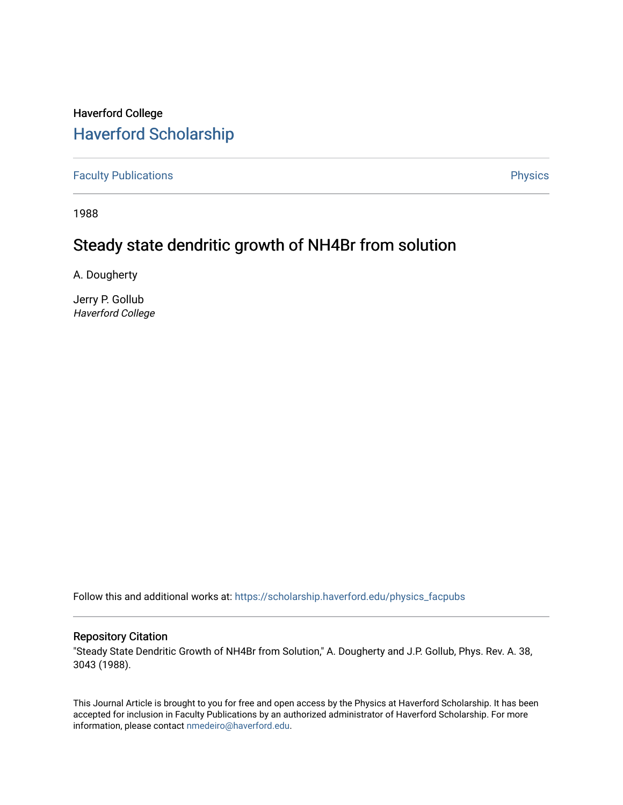# Haverford College [Haverford Scholarship](https://scholarship.haverford.edu/)

[Faculty Publications](https://scholarship.haverford.edu/physics_facpubs) **Physics** 

1988

# Steady state dendritic growth of NH4Br from solution

A. Dougherty

Jerry P. Gollub Haverford College

Follow this and additional works at: [https://scholarship.haverford.edu/physics\\_facpubs](https://scholarship.haverford.edu/physics_facpubs?utm_source=scholarship.haverford.edu%2Fphysics_facpubs%2F78&utm_medium=PDF&utm_campaign=PDFCoverPages) 

# Repository Citation

"Steady State Dendritic Growth of NH4Br from Solution," A. Dougherty and J.P. Gollub, Phys. Rev. A. 38, 3043 (1988).

This Journal Article is brought to you for free and open access by the Physics at Haverford Scholarship. It has been accepted for inclusion in Faculty Publications by an authorized administrator of Haverford Scholarship. For more information, please contact [nmedeiro@haverford.edu.](mailto:nmedeiro@haverford.edu)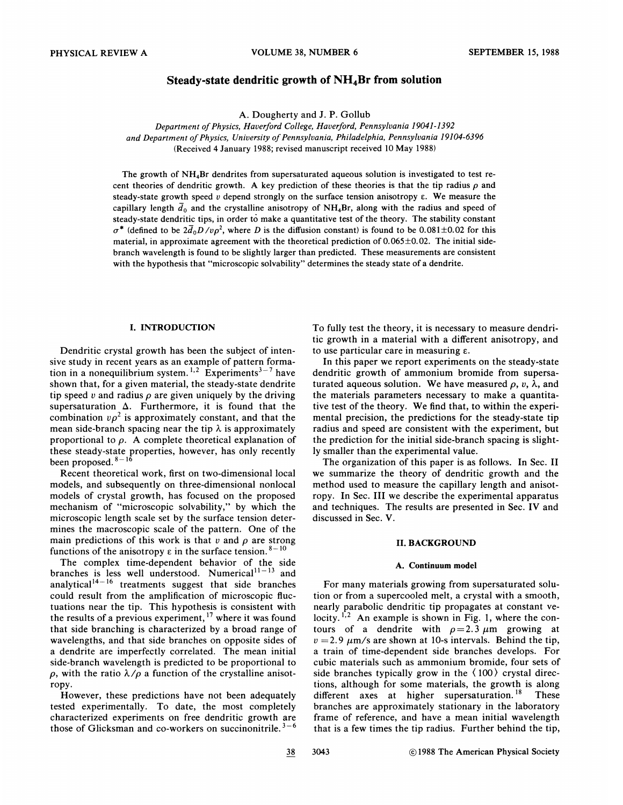# Steady-state dendritic growth of  $NH<sub>4</sub>Br$  from solution

A. Dougherty and J. P. Gollub

Department of Physics, Haverford College, Haverford, Pennsylvania 19041-1392 and Department of Physics, University of Pennsylvania, Philadelphia, Pennsylvania 19104-6396 (Received 4 January 1988; revised manuscript received 10 May 1988)

The growth of NH<sub>4</sub>Br dendrites from supersaturated aqueous solution is investigated to test recent theories of dendritic growth. A key prediction of these theories is that the tip radius  $\rho$  and steady-state growth speed v depend strongly on the surface tension anisotropy  $\varepsilon$ . We measure the capillary length  $\bar{d}_0$  and the crystalline anisotropy of NH<sub>4</sub>Br, along with the radius and speed of steady-state dendritic tips, in order to make a quantitative test of the theory. The stability constant  $\sigma^*$  (defined to be  $2\bar{d}_0D/\nu\rho^2$ , where D is the diffusion constant) is found to be 0.081±0.02 for this material, in approximate agreement with the theoretical prediction of  $0.065\pm0.02$ . The initial sidebranch wavelength is found to be slightly larger than predicted. These measurements are consistent with the hypothesis that "microscopic solvability" determines the steady state of a dendrite.

## I. INTRODUCTION

Dendritic crystal growth has been the subject of intensive study in recent years as an example of pattern forma tion in a nonequilibrium system.<sup>1,2</sup> Experiments<sup>3-7</sup> have shown that, for a given material, the steady-state dendrite tip speed  $v$  and radius  $\rho$  are given uniquely by the drivin supersaturation  $\Delta$ . Furthermore, it is found that the combination  $v\rho^2$  is approximately constant, and that the mean side-branch spacing near the tip  $\lambda$  is approximately proportional to  $\rho$ . A complete theoretical explanation of these steady-state properties, however, has only recently been proposed

Recent theoretical work, first on two-dimensional local models, and subsequently on three-dimensional nonlocal models of crystal growth, has focused on the proposed models of crystal growth, has focused on the proposed<br>mechanism of "microscopic solvability," by which the microscopic length scale set by the surface tension determines the macroscopic scale of the pattern. One of the main predictions of this work is that  $v$  and  $\rho$  are strong functions of the anisotropy  $\varepsilon$  in the surface tension.  $8-10$ 

The complex time-dependent behavior of the side branches is less well understood. Numerical $11-13$  and analytical $1^{14-16}$  treatments suggest that side branche could result from the amplification of microscopic fluctuations near the tip. This hypothesis is consistent with the results of a previous experiment,  $17$  where it was found that side branching is characterized by a broad range of wavelengths, and that side branches on opposite sides of a dendrite are imperfectly correlated. The mean initial side-branch wavelength is predicted to be proportional to  $\rho$ , with the ratio  $\lambda/\rho$  a function of the crystalline anisotropy.

However, these predictions have not been adequately tested experimentally. To date, the most completely characterized experiments on free dendritic growth are those of Glicksman and co-workers on succinonitrile.<sup>3-6</sup>

To fully test the theory, it is necessary to measure dendritic growth in a material with a different anisotropy, and to use particular care in measuring  $\varepsilon$ .

In this paper we report experiments on the steady-state dendritic growth of ammonium bromide from supersaturated aqueous solution. We have measured  $\rho$ , v,  $\lambda$ , and the materials parameters necessary to make a quantitative test of the theory. We find that, to within the experimental precision, the predictions for the steady-state tip radius and speed are consistent with the experiment, but the prediction for the initial side-branch spacing is slightly smaller than the experimental value.

The organization of this paper is as follows. In Sec. II we summarize the theory of dendritic growth and the method used to measure the capillary length and anisotropy. In Sec. III we describe the experimental apparatus and techniques. The results are presented in Sec. IV and discussed in Sec. V.

# II.BACKGROUND

## A. Continuum model

For many materials growing from supersaturated solution or from a supercooled melt, a crystal with a smooth, nearly parabolic dendritic tip propagates at constant ve-'locity.<sup>1,2</sup> An example is shown in Fig. 1, where the contours of a dendrite with  $\rho = 2.3 \mu m$  growing at  $v = 2.9 \ \mu \text{m/s}$  are shown at 10-s intervals. Behind the tip, a train of time-dependent side branches develops. For cubic materials such as ammonium bromide, four sets of side branches typically grow in the (100) crystal directions, although for some materials, the growth is along different axes at higher supersaturation.<sup>18</sup> These branches are approximately stationary in the laboratory frame of reference, and have a mean initial wavelength that is a few times the tip radius. Further behind the tip,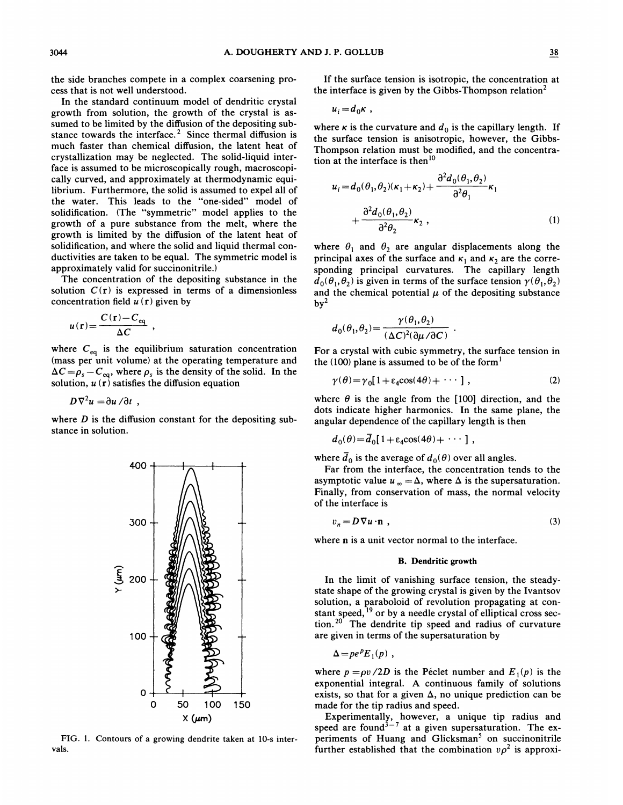the side branches compete in a complex coarsening process that is not well understood.

In the standard continuum model of dendritic crystal growth from solution, the growth of the crystal is assumed to be limited by the diffusion of the depositing substance towards the interface.<sup>2</sup> Since thermal diffusion is much faster than chemical diffusion, the latent heat of crystallization may be neglected. The solid-liquid interface is assumed to be microscopically rough, macroscopically curved, and approximately at thermodynamic equilibrium. Furthermore, the solid is assumed to expel all of the water. This leads to the "one-sided" model of solidification. (The "symmetric" model applies to the growth of a pure substance from the melt, where the growth is limited by the diffusion of the latent heat of solidification, and where the solid and liquid thermal conductivities are taken to be equal. The symmetric model is approximately valid for succinonitrile. )

The concentration of the depositing substance in the solution  $C(r)$  is expressed in terms of a dimensionless concentration field  $u(r)$  given by

$$
u(\mathbf{r}) = \frac{C(\mathbf{r}) - C_{\text{eq}}}{\Delta C} ,
$$

where  $C_{\text{eq}}$  is the equilibrium saturation concentration (mass per unit volume) at the operating temperature and  $\Delta C = \rho_s - C_{eq}$ , where  $\rho_s$  is the density of the solid. In the solution,  $u(\mathbf{r})$  satisfies the diffusion equation

 $D\nabla^2 u = \partial u / \partial t$ ,

where  $D$  is the diffusion constant for the depositing substance in solution.



FIG. 1. Contours of a growing dendrite taken at 10-s intervals.

If the surface tension is isotropic, the concentration at the interface is given by the Gibbs-Thompson relation<sup>2</sup>

$$
u_i = d_0 \kappa ,
$$

where  $\kappa$  is the curvature and  $d_0$  is the capillary length. If the surface tension is anisotropic, however, the Gibbs-Thompson relation must be modified, and the concentration at the interface is then'

$$
u_i = d_0(\theta_1, \theta_2)(\kappa_1 + \kappa_2) + \frac{\partial^2 d_0(\theta_1, \theta_2)}{\partial^2 \theta_1} \kappa_1
$$
  
+ 
$$
\frac{\partial^2 d_0(\theta_1, \theta_2)}{\partial^2 \theta_2} \kappa_2,
$$
 (1)

where  $\theta_1$  and  $\theta_2$  are angular displacements along the principal axes of the surface and  $\kappa_1$  and  $\kappa_2$  are the corresponding principal curvatures. The capillary length  $d_0(\theta_1, \theta_2)$  is given in terms of the surface tension  $\gamma(\theta_1, \theta_2)$ and the chemical potential  $\mu$  of the depositing substance  $by<sup>2</sup>$ 

$$
d_0(\theta_1, \theta_2) = \frac{\gamma(\theta_1, \theta_2)}{(\Delta C)^2(\partial \mu / \partial C)}
$$

For a crystal with cubic symmetry, the surface tension in the (100) plane is assumed to be of the form<sup>1</sup>

$$
\gamma(\theta) = \gamma_0 [1 + \varepsilon_4 \cos(4\theta) + \cdots], \qquad (2)
$$

where  $\theta$  is the angle from the [100] direction, and the dots indicate higher harmonics. In the same plane, the angular dependence of the capillary length is then

$$
d_0(\theta) = \overline{d}_0 [1 + \varepsilon_4 \cos(4\theta) + \cdots],
$$

where  $\overline{d}_0$  is the average of  $d_0(\theta)$  over all angles.

Far from the interface, the concentration tends to the asymptotic value  $u_{\infty} = \Delta$ , where  $\Delta$  is the supersaturation. Finally, from conservation of mass, the normal velocity of the interface is

$$
v_n = D \nabla u \cdot \mathbf{n} \tag{3}
$$

where **n** is a unit vector normal to the interface.

#### B. Dendritic growth

In the limit of vanishing surface tension, the steadystate shape of the growing crystal is given by the Ivantsov solution, a paraboloid of revolution propagating at constant speed, <sup>19</sup> or by a needle crystal of elliptical cross section. $20$  The dendrite tip speed and radius of curvature are given in terms of the supersaturation by

$$
\Delta = p e^p E_1(p) ,
$$

where  $p = \rho v / 2D$  is the Péclet number and  $E_1(p)$  is the exponential integral. A continuous family of solutions exists, so that for a given  $\Delta$ , no unique prediction can be made for the tip radius and speed.

Experimentally, however, a unique tip radius and speed are found<sup>3-7</sup> at a given supersaturation. The experiments of Huang and Glicksman<sup>5</sup> on succinonitrile further established that the combination  $\nu \rho^2$  is approxi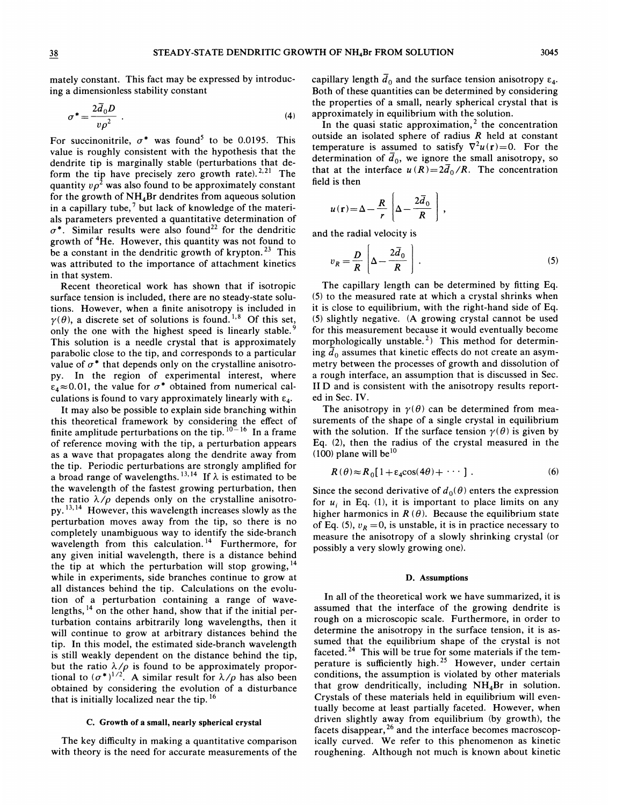mately constant. This fact may be expressed by introducing a dimensionless stability constant

$$
\sigma^* = \frac{2\overline{d}_0 D}{v \rho^2} \tag{4}
$$

For succinonitrile,  $\sigma^*$  was found<sup>5</sup> to be 0.0195. This value is roughly consistent with the hypothesis that the dendrite tip is marginally stable (perturbations that deform the tip have precisely zero growth rate).  $2,21$  The quantity  $v \rho^2$  was also found to be approximately constant for the growth of  $NH<sub>4</sub>Br$  dendrites from aqueous solution in a capillary tube,<sup>7</sup> but lack of knowledge of the materials parameters prevented a quantitative determination of  $\sigma^*$ . Similar results were also found<sup>22</sup> for the dendritic growth of <sup>4</sup>He. However, this quantity was not found to be a constant in the dendritic growth of krypton.<sup>23</sup> This was attributed to the importance of attachment kinetics in that system.

Recent theoretical work has shown that if isotropic surface tension is included, there are no steady-state solutions. However, when a finite anisotropy is included in ' $\gamma(\theta)$ , a discrete set of solutions is found.<sup>1,8</sup> Of this set, only the one with the highest speed is linearly stable.<sup>9</sup> This solution is a needle crystal that is approximately parabolic close to the tip, and corresponds to a particular value of  $\sigma^*$  that depends only on the crystalline anisotropy. In the region of experimental interest, where  $\varepsilon_4 \approx 0.01$ , the value for  $\sigma^*$  obtained from numerical calculations is found to vary approximately linearly with  $\varepsilon_4$ .

It may also be possible to explain side branching within this theoretical framework by considering the effect of finite amplitude perturbations on the tip.  $10-16$  In a frame of reference moving with the tip, a perturbation appears as a wave that propagates along the dendrite away from the tip. Periodic perturbations are strongly amplified for<br>a broad range of wavelengths.<sup>13,14</sup> If  $\lambda$  is estimated to be a broad range of wavelengths.<sup>13,14</sup> If  $\lambda$  is estimated to be the wavelength of the fastest growing perturbation, then the ratio  $\lambda/\rho$  depends only on the crystalline anisotro-<br>  $\lambda$ <sup>13.14</sup>. Hence, this member this is appeared almaly as the py.<sup>13,14</sup> However, this wavelength increases slowly as the perturbation moves away from the tip, so there is no completely unambiguous way to identify the side-branch wavelength from this calculation.<sup>14</sup> Furthermore, for any given initial wavelength, there is a distance behind the tip at which the perturbation will stop growing,  $14$ while in experiments, side branches continue to grow at all distances behind the tip. Calculations on the evolution of a perturbation containing a range of wavelengths, <sup>14</sup> on the other hand, show that if the initial perturbation contains arbitrarily long wavelengths, then it will continue to grow at arbitrary distances behind the tip. In this model, the estimated side-branch wavelength is still weakly dependent on the distance behind the tip, but the ratio  $\lambda/\rho$  is found to be approximately proportional to  $(\sigma^*)^{1/2}$ . A similar result for  $\lambda/\rho$  has also been obtained by considering the evolution of a disturbance that is initially localized near the tip.<sup>16</sup>

#### C. Growth of a small, nearly spherical crystal

The key difficulty in making a quantitative comparison with theory is the need for accurate measurements of the capillary length  $\bar{d}_0$  and the surface tension anisotropy  $\varepsilon_4$ . Both of these quantities can be determined by considering the properties of a small, nearly spherical crystal that is approximately in equilibrium with the solution.

In the quasi static approximation,<sup>2</sup> the concentration outside an isolated sphere of radius R held at constant temperature is assumed to satisfy  $\nabla^2 u(\mathbf{r}) = 0$ . For the determination of  $\bar{d}_0$ , we ignore the small anisotropy, so that at the interface  $u(R)=2\overline{d}_0/R$ . The concentration field is then

$$
u(\mathbf{r}) = \Delta - \frac{R}{r} \left[ \Delta - \frac{2 \overline{d}_0}{R} \right],
$$

and the radial velocity is

$$
v_R = \frac{D}{R} \left[ \Delta - \frac{2 \bar{d}_0}{R} \right].
$$
 (5)

The capillary length can be determined by fitting Eq. (5) to the measured rate at which a crystal shrinks when it is close to equilibrium, with the right-hand side of Eq. (5) slightly negative. (A growing crystal cannot be used for this measurement because it would eventually become morphologically unstable.<sup>2</sup>) This method for determining  $\bar{d}_0$  assumes that kinetic effects do not create an asymmetry between the processes of growth and dissolution of a rough interface, an assumption that is discussed in Sec. II D and is consistent with the anisotropy results reported in Sec. IV.

The anisotropy in  $\gamma(\theta)$  can be determined from measurements of the shape of a single crystal in equilibrium with the solution. If the surface tension  $\gamma(\theta)$  is given by Eq. (2), then the radius of the crystal measured in the  $(100)$  plane will be<sup>10</sup>

$$
R(\theta) \approx R_0 [1 + \varepsilon_4 \cos(4\theta) + \cdots ] \ . \tag{6}
$$

Since the second derivative of  $d_0(\theta)$  enters the expression for  $u_i$  in Eq. (1), it is important to place limits on any higher harmonics in  $R(\theta)$ . Because the equilibrium state of Eq. (5),  $v_R = 0$ , is unstable, it is in practice necessary to measure the anisotropy of a slowly shrinking crystal (or possibly a very slowly growing one}.

#### D. Assumptions

In all of the theoretical work we have summarized, it is assumed that the interface of the growing dendrite is rough on a microscopic scale. Furthermore, in order to determine the anisotropy in the surface tension, it is assumed that the equilibrium shape of the crystal is not faceted.<sup>24</sup> This will be true for some materials if the temperature is sufficiently high.<sup>25</sup> However, under certain conditions, the assumption is violated by other materials that grow dendritically, including  $NH<sub>4</sub>Br$  in solution. Crystals of these materials held in equilibrium will eventually become at least partially faceted. However, when driven slightly away from equilibrium (by growth), the facets disappear,  $26$  and the interface becomes macroscopically curved. We refer to this phenomenon as kinetic roughening. Although not much is known about kinetic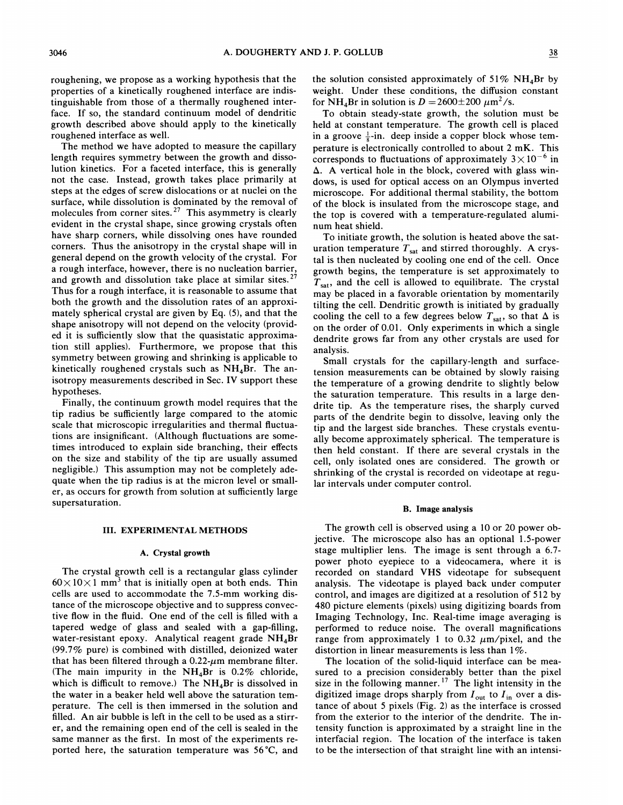roughening, we propose as a working hypothesis that the properties of a kinetically roughened interface are indistinguishable from those of a thermally roughened interface. If so, the standard continuum model of dendritic growth described above should apply to the kinetically roughened interface as well.

The method we have adopted to measure the capillary length requires symmetry between the growth and dissolution kinetics. For a faceted interface, this is generally not the case. Instead, growth takes place primarily at steps at the edges of screw dislocations or at nuclei on the surface, while dissolution is dominated by the removal of molecules from corner sites.<sup>27</sup> This asymmetry is clearly evident in the crystal shape, since growing crystals often have sharp corners, while dissolving ones have rounded corners. Thus the anisotropy in the crystal shape will in general depend on the growth velocity of the crystal. For a rough interface, however, there is no nucleation barrier, and growth and dissolution take place at similar sites.  $27$ Thus for a rough interface, it is reasonable to assume that both the growth and the dissolution rates of an approximately spherical crystal are given by Eq. (5), and that the shape anisotropy will not depend on the velocity (provided it is sufficiently slow that the quasistatic approximation still applies). Furthermore, we propose that this symmetry between growing and shrinking is applicable to kinetically roughened crystals such as  $NH<sub>4</sub>Br$ . The anisotropy measurements described in Sec. IV support these hypotheses.

Finally, the continuum growth model requires that the tip radius be sufficiently large compared to the atomic scale that microscopic irregularities and thermal fluctuations are insignificant. (Although fluctuations are sometimes introduced to explain side branching, their effects on the size and stability of the tip are usually assumed negligible.) This assumption may not be completely adequate when the tip radius is at the micron level or smaller, as occurs for growth from solution at sufficiently large supersaturation.

## III. EXPERIMENTAL METHODS

## A. Crystal growth

The crystal growth cell is a rectangular glass cylinder  $60\times10\times1$  mm<sup>3</sup> that is initially open at both ends. Thin cells are used to accommodate the 7.5-mm working distance of the microscope objective and to suppress convective flow in the fluid. One end of the cell is filled with a tapered wedge of glass and sealed with a gap-filling, water-resistant epoxy. Analytical reagent grade  $NH_4Br$ (99.7% pure) is combined with distilled, deionized water that has been filtered through a  $0.22$ - $\mu$ m membrane filter. (The main impurity in the  $NH<sub>4</sub>Br$  is 0.2% chloride, which is difficult to remove.) The  $NH_4Br$  is dissolved in the water in a beaker held well above the saturation temperature. The cell is then immersed in the solution and filled. An air bubble is left in the cell to be used as a stirrer, and the remaining open end of the cell is sealed in the same manner as the first. In most of the experiments reported here, the saturation temperature was 56'C, and the solution consisted approximately of  $51\% \text{ NH}_4\text{Br}$  by weight. Under these conditions, the diffusion constant for NH<sub>4</sub>Br in solution is  $D = 2600 \pm 200 \ \mu \text{m}^2/\text{s}$ .

To obtain steady-state growth, the solution must be held at constant temperature. The growth cell is placed in a groove  $\frac{1}{8}$ -in. deep inside a copper block whose temperature is electronically controlled to about 2 mK. This corresponds to fluctuations of approximately  $3 \times 10^{-6}$  in  $\Delta$ . A vertical hole in the block, covered with glass windows, is used for optical access on an Olympus inverted microscope. For additional thermal stability, the bottom of the block is insulated from the microscope stage, and the top is covered with a temperature-regulated aluminum heat shield.

To initiate growth, the solution is heated above the saturation temperature  $T_{sat}$  and stirred thoroughly. A crystal is then nucleated by cooling one end of the cell. Once growth begins, the temperature is set approximately to  $T_{\text{sat}}$ , and the cell is allowed to equilibrate. The crystal may be placed in a favorable orientation by momentarily tilting the cell. Dendritic growth is initiated by gradually cooling the cell to a few degrees below  $T_{sat}$ , so that  $\Delta$  is on the order of 0.01. Only experiments in which a single dendrite grows far from any other crystals are used for analysis.

Small crystals for the capillary-length and surfacetension measurements can be obtained by slowly raising the temperature of a growing dendrite to slightly below the saturation temperature. This results in a large dendrite tip. As the temperature rises, the sharply curved parts of the dendrite begin to dissolve, leaving only the tip and the largest side branches. These crystals eventually become approximately spherical. The temperature is then held constant. If there are several crystals in the cell, only isolated ones are considered. The growth or shrinking of the crystal is recorded on videotape at regular intervals under computer control.

# B. Image analysis

The growth cell is observed using a 10 or 20 power objective. The microscope also has an optional 1.5-power stage multiplier lens. The image is sent through a 6.7 power photo eyepiece to a videocamera, where it is recorded on standard VHS videotape for subsequent analysis. The videotape is played back under computer control, and images are digitized at a resolution of 512 by 480 picture elements (pixels) using digitizing boards from Imaging Technology, Inc. Real-time image averaging is performed to reduce noise. The overall magnifications range from approximately 1 to 0.32  $\mu$ m/pixel, and the distortion in linear measurements is less than  $1\%$ .

The location of the solid-liquid interface can be measured to a precision considerably better than the pixel size in the following manner.<sup>17</sup> The light intensity in the digitized image drops sharply from  $I_{\text{out}}$  to  $I_{\text{in}}$  over a distance of about 5 pixels (Fig. 2) as the interface is crossed from the exterior to the interior of the dendrite. The intensity function is approximated by a straight line in the interfacial region. The location of the interface is taken to be the intersection of that straight line with an intensi-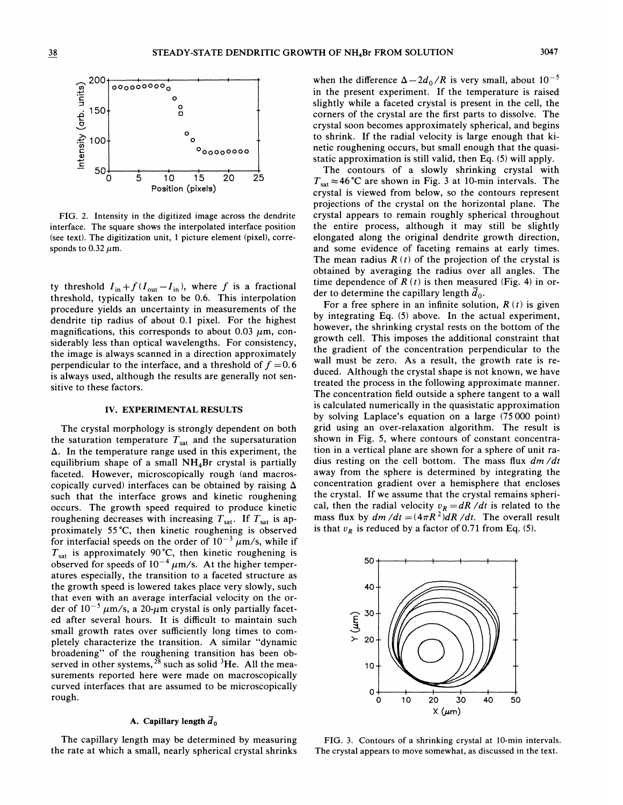

FIG. 2. Intensity in the digitized image across the dendrite interface. The square shows the interpolated interface position (see text). The digitization unit, <sup>1</sup> picture element (pixel), corresponds to  $0.32 \mu$ m.

ty threshold  $I_{\text{in}}+f(I_{\text{out}}-I_{\text{in}})$ , where f is a fractional threshold, typically taken to be 0.6. This interpolation procedure yields an uncertainty in measurements of the dendrite tip radius of about 0.<sup>1</sup> pixel. For the highest magnifications, this corresponds to about 0.03  $\mu$ m, considerably less than optical wavelengths. For consistency, the image is always scanned in a direction approximately perpendicular to the interface, and a threshold of  $f = 0.6$ is always used, although the results are generally not sensitive to these factors.

#### IV. EXPERIMENTAL RESULTS

The crystal morphology is strongly dependent on both the saturation temperature  $T_{sat}$  and the supersaturation  $\Delta$ . In the temperature range used in this experiment, the equilibrium shape of a small NH48r crystal is partially faceted. However, microscopically rough (and macroscopically curved) interfaces can be obtained by raising  $\Delta$ such that the interface grows and kinetic roughening occurs. The growth speed required to produce kinetic roughening decreases with increasing  $T_{sat}$ . If  $T_{sat}$  is approximately 55 'C, then kinetic roughening is observed for interfacial speeds on the order of  $10^{-3}$   $\mu$ m/s, while if  $T_{\text{sat}}$  is approximately 90 °C, then kinetic roughening is observed for speeds of  $10^{-4}$   $\mu$ m/s. At the higher temper atures especially, the transition to a faceted structure as the growth speed is lowered takes place very slowly, such that even with an average interfacial velocity on the order of  $10^{-5} \mu \text{m/s}$ , a 20- $\mu$ m crystal is only partially faceted after several hours. It is difficult to maintain such small growth rates over sufficiently long times to completely characterize the transition. A similar "dynamic broadening" of the roughening transition has been observed in other systems,  $28$  such as solid  $3$ He. All the measurements reported here were made on macroscopically curved interfaces that are assumed to be microscopically rough.

# A. Capillary length  $\overline{d}_0$

The capillary length may be determined by measuring the rate at which a small, nearly spherical crystal shrinks

when the difference  $\Delta - 2d_0/R$  is very small, about  $10^{-5}$ in the present experiment. If the temperature is raised slightly while a faceted crystal is present in the cell, the corners of the crystal are the first parts to dissolve. The crystal soon becomes approximately spherical, and begins to shrink. If the radial velocity is large enough that kinetic roughening occurs, but small enough that the quasistatic approximation is still valid, then Eq. (5) will apply.

The contours of a slowly shrinking crystal with  $T_{\text{sat}} \approx 46^{\circ}$ C are shown in Fig. 3 at 10-min intervals. The crystal is viewed from below, so the contours represent projections of the crystal on the horizontal plane. The crystal appears to remain roughly spherical throughout the entire process, although it may still be slightly elongated along the original dendrite growth direction, and some evidence of faceting remains at early times. The mean radius  $R(t)$  of the projection of the crystal is obtained by averaging the radius over all angles. The time dependence of  $R(t)$  is then measured (Fig. 4) in order to determine the capillary length  $\overline{d}_0$ .

For a free sphere in an infinite solution,  $R(t)$  is given by integrating Eq. (5) above. In the actual experiment, however, the shrinking crystal rests on the bottom of the growth cell. This imposes the additional constraint that the gradient of the concentration perpendicular to the wall must be zero. As a result, the growth rate is reduced. Although the crystal shape is not known, we have treated the process in the following approximate manner. The concentration field outside a sphere tangent to a wall is calculated numerically in the quasistatic approximation by solving Laplace's equation on a large (75000 point) grid using an over-relaxation algorithm. The result is shown in Fig. 5, where contours of constant concentration in a vertical plane are shown for a sphere of unit radius resting on the cell bottom. The mass flux  $dm/dt$ away from the sphere is determined by integrating the concentration gradient over a hemisphere that encloses the crystal. If we assume that the crystal remains spherical, then the radial velocity  $v_R = dR / dt$  is related to the mass flux by  $dm/dt = (4\pi R^2)dR/dt$ . The overall result is that  $v_R$  is reduced by a factor of 0.71 from Eq. (5).



FIG. 3. Contours of a shrinking crystal at 10-min intervals. The crystal appears to move somewhat, as discussed in the text.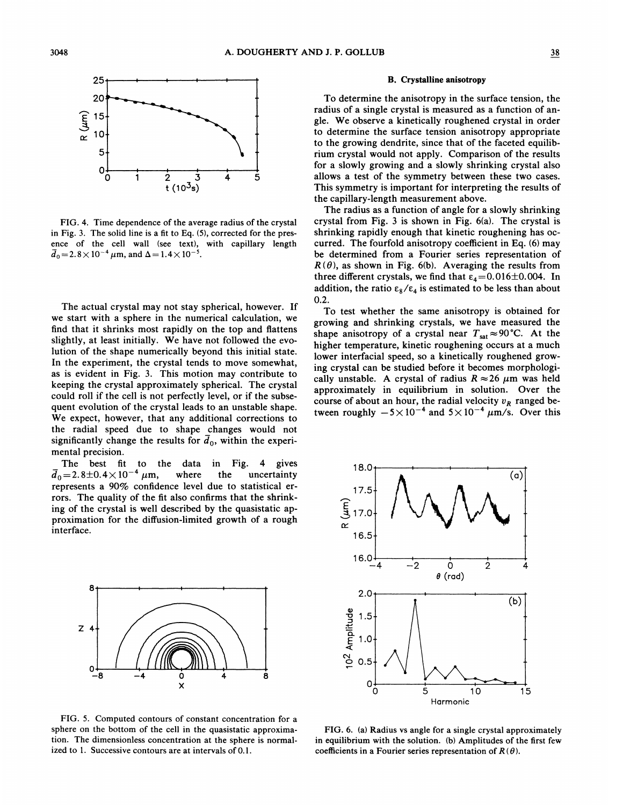

FIG. 4. Time dependence of the average radius of the crystal in Fig. 3. The solid line is a fit to Eq. (5), corrected for the presence of the cell wall (see text), with capillary length  $\overline{d}_0$  = 2.8 × 10<sup>-4</sup>  $\mu$ m, and  $\Delta$  = 1.4 × 10<sup>-5</sup>.

The actual crystal may not stay spherical, however. If we start with a sphere in the numerical calculation, we find that it shrinks most rapidly on the top and flattens slightly, at least initially. We have not followed the evolution of the shape numerically beyond this initial state. In the experiment, the crystal tends to move somewhat, as is evident in Fig. 3. This motion may contribute to keeping the crystal approximately spherical. The crystal could roll if the cell is not perfectly level, or if the subsequent evolution of the crystal leads to an unstable shape. We expect, however, that any additional corrections to the radial speed due to shape changes would not significantly change the results for  $\overline{d}_0$ , within the experimental precision.

The best fit to the data in Fig. 4 gives  $\bar{d}_0 = 2.8 \pm 0.4 \times 10^{-4} \mu \text{m}$ , where the uncertainty represents a 90% confidence level due to statistical errors. The quality of the fit also confirms that the shrinking of the crystal is well described by the quasistatic approximation for the diffusion-limited growth of a rough interface.



FIG. 5. Computed contours of constant concentration for a sphere on the bottom of the cell in the quasistatic approximation. The dimensionless concentration at the sphere is normalized to 1. Successive contours are at intervals of 0.1.

To determine the anisotropy in the surface tension, the radius of a single crystal is measured as a function of angle. We observe a kinetically roughened crystal in order to determine the surface tension anisotropy appropriate to the growing dendrite, since that of the faceted equilibrium crystal would not apply. Comparison of the results for a slowly growing and a slowly shrinking crystal also allows a test of the symmetry between these two cases. This symmetry is important for interpreting the results of the capillary-length measurement above.

The radius as a function of angle for a slowly shrinking crystal from Fig. 3 is shown in Fig. 6(a). The crystal is shrinking rapidly enough that kinetic roughening has occurred. The fourfold anisotropy coefficient in Eq. (6) may be determined from a Fourier series representation of  $R(\theta)$ , as shown in Fig. 6(b). Averaging the results from three different crystals, we find that  $\varepsilon_4 = 0.016 \pm 0.004$ . In addition, the ratio  $\epsilon_8/\epsilon_4$  is estimated to be less than about 0.2.

To test whether the same anisotropy is obtained for growing and shrinking crystals, we have measured the shape anisotropy of a crystal near  $T_{sat} \approx 90^{\circ}$ C. At the higher temperature, kinetic roughening occurs at a much lower interfacial speed, so a kinetically roughened growing crystal can be studied before it becomes morphologically unstable. A crystal of radius  $R \approx 26 \mu m$  was held approximately in equilibrium in solution. Over the course of about an hour, the radial velocity  $v_R$  ranged between roughly  $-5\times10^{-4}$  and  $5\times10^{-4}$   $\mu$ m/s. Over this



FIG. 6. (a) Radius vs angle for a single crystal approximately in equilibrium with the solution. (b) Amplitudes of the first few coefficients in a Fourier series representation of  $R(\theta)$ .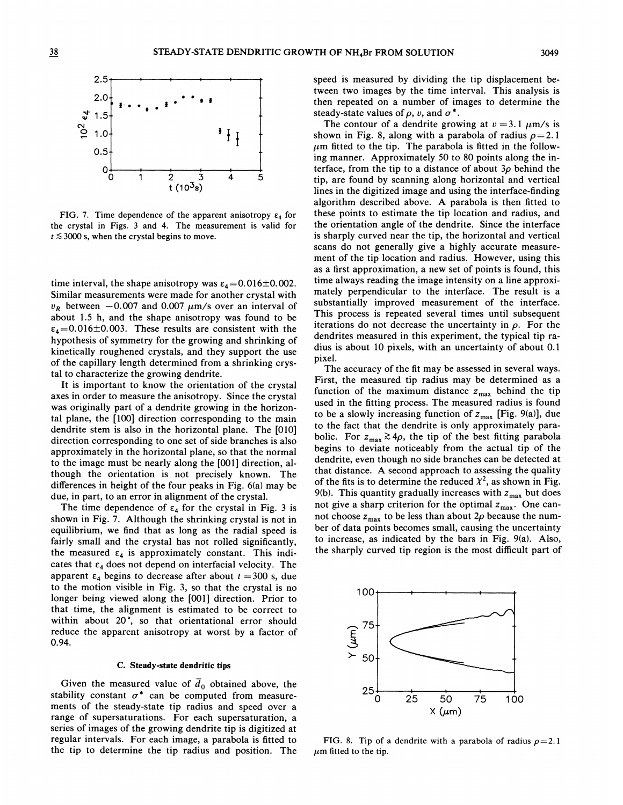

FIG. 7. Time dependence of the apparent anisotropy  $\varepsilon_4$  for the crystal in Figs. 3 and 4. The measurement is valid for  $t \lesssim 3000$  s, when the crystal begins to move.

time interval, the shape anisotropy was  $\varepsilon_4 = 0.016 \pm 0.002$ . Similar measurements were made for another crystal with  $v_R$  between  $-0.007$  and 0.007  $\mu$ m/s over an interval of about 1.5 h, and the shape anisotropy was found to be  $\varepsilon_4$  = 0.016 ± 0.003. These results are consistent with the hypothesis of symmetry for the growing and shrinking of kinetically roughened crystals, and they support the use of the capillary length determined from a shrinking crystal to characterize the growing dendrite.

It is important to know the orientation of the crystal axes in order to measure the anisotropy. Since the crystal was originally part of a dendrite growing in the horizontal plane, the [100] direction corresponding to the main dendrite stem is also in the horizontal plane. The [010] direction corresponding to one set of side branches is also approximately in the horizontal plane, so that the normal to the image must be nearly along the [001] direction, although the orientation is not precisely known. The differences in height of the four peaks in Fig. 6(a) may be due, in part, to an error in alignment of the crystal.

The time dependence of  $\varepsilon_4$  for the crystal in Fig. 3 is shown in Fig. 7. Although the shrinking crystal is not in equilibrium, we find that as long as the radial speed is fairly small and the crystal has not rolled significantly, the measured  $\varepsilon_4$  is approximately constant. This indicates that  $\varepsilon_4$  does not depend on interfacial velocity. The apparent  $\varepsilon_4$  begins to decrease after about  $t = 300$  s, due to the motion visible in Fig. 3, so that the crystal is no longer being viewed along the [001] direction. Prior to that time, the alignment is estimated to be correct to within about 20°, so that orientational error should reduce the apparent anisotropy at worst by a factor of 0.94.

# C. Steady-state dendritic tips

Given the measured value of  $\overline{d}_0$  obtained above, the stability constant  $\sigma^*$  can be computed from measurements of the steady-state tip radius and speed over a range of supersaturations. For each supersaturation, a series of images of the growing dendrite tip is digitized at regular intervals. For each image, a parabola is fitted to the tip to determine the tip radius and position. The

speed is measured by dividing the tip displacement between two images by the time interval. This analysis is then repeated on a number of images to determine the steady-state values of  $\rho$ , v, and  $\sigma^*$ .

The contour of a dendrite growing at  $v = 3.1 \mu m/s$  is shown in Fig. 8, along with a parabola of radius  $\rho = 2.1$  $\mu$ m fitted to the tip. The parabola is fitted in the following manner. Approximately 50 to 80 points along the interface, from the tip to a distance of about  $3\rho$  behind the tip, are found by scanning along horizontal and vertical lines in the digitized image and using the interface-finding algorithm described above. A parabola is then fitted to these points to estimate the tip location and radius, and the orientation angle of the dendrite. Since the interface is sharply curved near the tip, the horizontal and vertical scans do not generally give a highly accurate measurement of the tip location and radius. However, using this as a first approximation, a new set of points is found, this time always reading the image intensity on a line approximately perpendicular to the interface. The result is a substantially improved measurement of the interface. This process is repeated several times until subsequent iterations do not decrease the uncertainty in  $\rho$ . For the dendrites measured in this experiment, the typical tip radius is about 10 pixels, with an uncertainty of about 0.<sup>1</sup> pixel.

The accuracy of the fit may be assessed in several ways. First, the measured tip radius may be determined as a function of the maximum distance  $z_{\text{max}}$  behind the tip used in the fitting process. The measured radius is found to be a slowly increasing function of  $z_{\text{max}}$  [Fig. 9(a)], due to the fact that the dendrite is only approximately parabolic. For  $z_{\text{max}} \gtrsim 4\rho$ , the tip of the best fitting parabola begins to deviate noticeably from the actual tip of the dendrite, even though no side branches can be detected at that distance. A second approach to assessing the quality of the fits is to determine the reduced  $\chi^2$ , as shown in Fig. 9(b). This quantity gradually increases with  $z_{\text{max}}$  but does not give a sharp criterion for the optimal  $z_{\text{max}}$ . One cannot choose  $z_{\text{max}}$  to be less than about  $2\rho$  because the number of data points becomes small, causing the uncertainty to increase, as indicated by the bars in Fig. 9(a). Also, the sharply curved tip region is the most difficult part of



FIG. 8. Tip of a dendrite with a parabola of radius  $\rho = 2.1$  $\mu$ m fitted to the tip.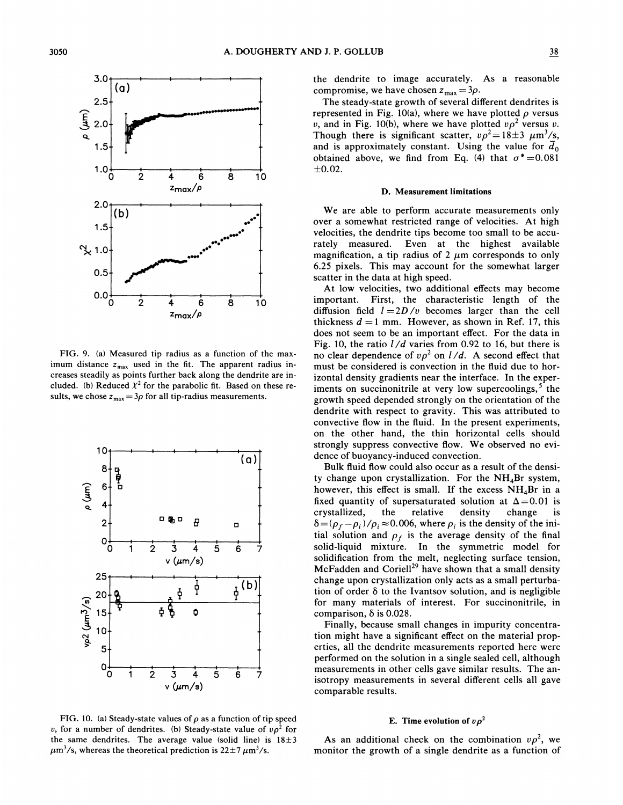

FIG. 9. (a) Measured tip radius as a function of the maximum distance  $z_{\text{max}}$  used in the fit. The apparent radius increases steadily as points further back along the dendrite are included. (b) Reduced  $\chi^2$  for the parabolic fit. Based on these results, we chose  $z_{\text{max}} = 3\rho$  for all tip-radius measurements.



FIG. 10. (a) Steady-state values of  $\rho$  as a function of tip speed v, for a number of dendrites. (b) Steady-state value of  $v\rho^2$  for the same dendrites. The average value (solid line) is  $18 \pm 3$  $\mu$ m<sup>3</sup>/s, whereas the theoretical prediction is 22 $\pm$ 7  $\mu$ m<sup>3</sup>/s.

the dendrite to image accurately. As a reasonable compromise, we have chosen  $z_{\text{max}} = 3\rho$ .

The steady-state growth of several different dendrites is represented in Fig. 10(a), where we have plotted  $\rho$  versus v, and in Fig. 10(b), where we have plotted  $v\rho^2$  versus v. Though there is significant scatter,  $v\rho^2 = 18 \pm 3$   $\mu$ m<sup>3</sup>/s, and is approximately constant. Using the value for  $\bar{d}_0$ obtained above, we find from Eq. (4) that  $\sigma^* = 0.081$  $±0.02.$ 

#### D. Measurement limitations

We are able to perform accurate measurements only over a somewhat restricted range of velocities. At high velocities, the dendrite tips become too small to be accurately measured. Even at the highest available magnification, a tip radius of 2  $\mu$ m corresponds to only 6.25 pixels. This may account for the somewhat larger scatter in the data at high speed.

At low velocities, two additional effects may become important. First, the characteristic length of the diffusion field  $l = 2D/v$  becomes larger than the cell thickness  $d = 1$  mm. However, as shown in Ref. 17, this does not seem to be an important effect. For the data in Fig. 10, the ratio  $1/d$  varies from 0.92 to 16, but there is no clear dependence of  $v\rho^2$  on  $l/d$ . A second effect that must be considered is convection in the fluid due to horizontal density gradients near the interface. In the experiments on succinonitrile at very low supercoolings,  $5$  the growth speed depended strongly on the orientation of the dendrite with respect to gravity. This was attributed to convective flow in the fluid. In the present experiments, on the other hand, the thin horizontal cells should strongly suppress convective flow. We observed no evidence of buoyancy-induced convection.

Bulk fluid flow could also occur as a result of the density change upon crystallization. For the  $NH<sub>4</sub>Br$  system, however, this effect is small. If the excess  $NH<sub>4</sub>Br$  in a fixed quantity of supersaturated solution at  $\Delta=0.01$  is crystallized, the relative density change is  $\delta = (\rho_f - \rho_i)/\rho_i \approx 0.006$ , where  $\rho_i$  is the density of the initial solution and  $\rho_f$  is the average density of the final solid-liquid mixture. In the symmetric model for solidification from the melt, neglecting surface tension, McFadden and Coriell<sup>29</sup> have shown that a small density change upon crystallization only acts as a small perturbation of order  $\delta$  to the Ivantsov solution, and is negligible for many materials of interest. For succinonitrile, in comparison,  $\delta$  is 0.028.

Finally, because small changes in impurity concentration might have a significant effect on the material properties, all the dendrite measurements reported here were performed on the solution in a single sealed cell, although measurements in other cells gave similar results. The anisotropy measurements in several different cells all gave comparable results.

# E. Time evolution of  $v\rho^2$

As an additional check on the combination  $\nu \rho^2$ , we monitor the growth of a single dendrite as a function of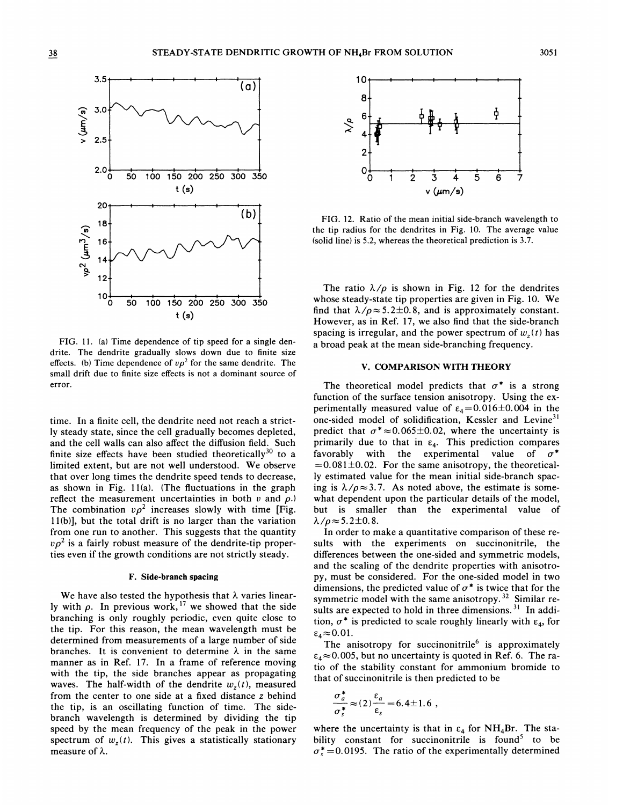

FIG. 11. (a) Time dependence of tip speed for a single dendrite. The dendrite gradually slows down due to finite size effects. (b) Time dependence of  $v\rho^2$  for the same dendrite. The small drift due to finite size effects is not a dominant source of error.

time. In a finite cell, the dendrite need not reach a strictly steady state, since the cell gradually becomes depleted, and the cell walls can also affect the diffusion field. Such finite size effects have been studied theoretically<sup>30</sup> to a limited extent, but are not well understood. We observe that over long times the dendrite speed tends to decrease, as shown in Fig. 11(a). (The fluctuations in the graph reflect the measurement uncertainties in both  $v$  and  $\rho$ .) The combination  $v\rho^2$  increases slowly with time [Fig. 11(b)], but the total drift is no larger than the variation from one run to another. This suggests that the quantity  $\nu \rho^2$  is a fairly robust measure of the dendrite-tip properties even if the growth conditions are not strictly steady.

#### F. Side-branch spacing

We have also tested the hypothesis that  $\lambda$  varies linearly with  $\rho$ . In previous work, <sup>17</sup> we showed that the side branching is only roughly periodic, even quite close to the tip. For this reason, the mean wavelength must be determined from measurements of a large number of side branches. It is convenient to determine  $\lambda$  in the same manner as in Ref. 17. In a frame of reference moving with the tip, the side branches appear as propagating waves. The half-width of the dendrite  $w<sub>z</sub>(t)$ , measured from the center to one side at a fixed distance z behind the tip, is an oscillating function of time. The sidebranch wavelength is determined by dividing the tip speed by the mean frequency of the peak in the power spectrum of  $w<sub>z</sub>(t)$ . This gives a statistically stationary measure of  $\lambda$ .



(b) FIG. 12. Ratio of the mean initial side-branch wavelength to the tip radius for the dendrites in Fig. 10. The average value (solid line) is 5.2, whereas the theoretical prediction is 3.7.

The ratio  $\lambda/\rho$  is shown in Fig. 12 for the dendrites whose steady-state tip properties are given in Fig. 10. We find that  $\lambda/\rho \approx 5.2 \pm 0.8$ , and is approximately constant. However, as in Ref. 17, we also find that the side-branch spacing is irregular, and the power spectrum of  $w<sub>z</sub>(t)$  has a broad peak at the mean side-branching frequency.

# V. COMPARISON WITH THEORY

The theoretical model predicts that  $\sigma^*$  is a strong function of the surface tension anisotropy. Using the experimentally measured value of  $\varepsilon_4 = 0.016 \pm 0.004$  in the one-sided model of solidification, Kessler and Levine<sup>31</sup> predict that  $\sigma^* \approx 0.065 \pm 0.02$ , where the uncertainty is primarily due to that in  $\varepsilon_4$ . This prediction compares favorably with the experimental value of  $\sigma^*$  $=0.081\pm0.02$ . For the same anisotropy, the theoretically estimated value for the mean initial side-branch spacing is  $\lambda/\rho \approx 3.7$ . As noted above, the estimate is somewhat dependent upon the particular details of the model, but is smaller than the experimental value of  $\lambda/\rho \approx 5.2\pm0.8$ .

In order to make a quantitative comparison of these results with the experiments on succinonitrile, the differences between the one-sided and symmetric models, and the scaling of the dendrite properties with anisotropy, must be considered. For the one-sided model in two dimensions, the predicted value of  $\sigma^*$  is twice that for the symmetric model with the same anisotropy.<sup>32</sup> Similar results are expected to hold in three dimensions.<sup>31</sup> In addi tion,  $\sigma^*$  is predicted to scale roughly linearly with  $\varepsilon_4$ , for  $\varepsilon_4 \approx 0.01$ .

The anisotropy for succinonitrile<sup>6</sup> is approximately  $\varepsilon_4 \approx 0.005$ , but no uncertainty is quoted in Ref. 6. The ratio of the stability constant for ammonium bromide to that of succinonitrile is then predicted to be

$$
\frac{\sigma_a^*}{\sigma_s^*} \approx (2) \frac{\varepsilon_a}{\varepsilon_s} = 6.4 \pm 1.6 ,
$$

where the uncertainty is that in  $\varepsilon_4$  for NH<sub>4</sub>Br. The stability constant for succinonitrile is found<sup>5</sup> to be  $\sigma_s^*$  = 0.0195. The ratio of the experimentally determine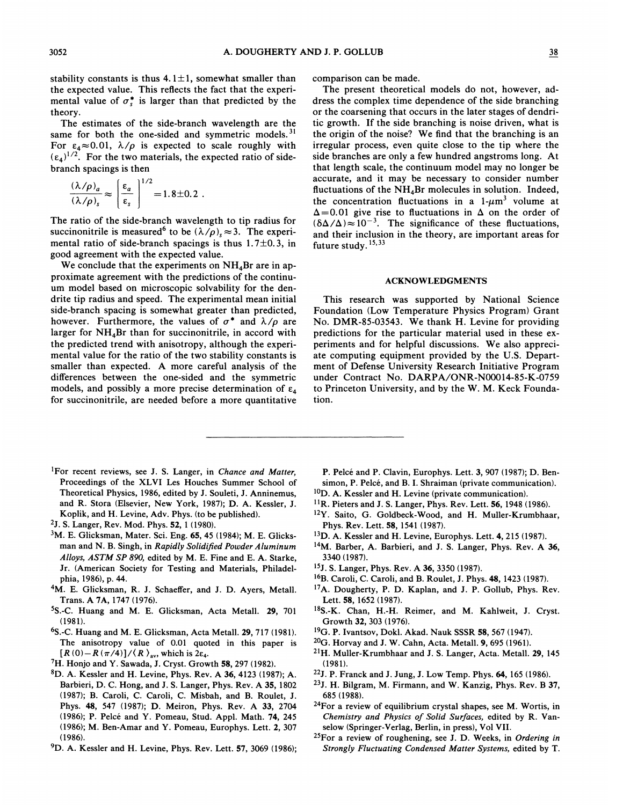stability constants is thus  $4.1 \pm 1$ , somewhat smaller than the expected value. This reflects the fact that the experimental value of  $\sigma_s^*$  is larger than that predicted by the theory.

The estimates of the side-branch wavelength are the same for both the one-sided and symmetric models.<sup>31</sup> For  $\varepsilon_4 \approx 0.01$ ,  $\lambda/\rho$  is expected to scale roughly with  $(\epsilon_4)^{1/2}$ . For the two materials, the expected ratio of sidebranch spacings is then

$$
\frac{(\lambda/\rho)_a}{(\lambda/\rho)_s} \approx \left(\frac{\varepsilon_a}{\varepsilon_s}\right)^{1/2} = 1.8 \pm 0.2.
$$

The ratio of the side-branch wavelength to tip radius for succinonitrile is measured<sup>6</sup> to be  $(\lambda/\rho)$ ,  $\approx$ 3. The experimental ratio of side-branch spacings is thus  $1.7\pm0.3$ , in good agreement with the expected value.

We conclude that the experiments on  $NH<sub>4</sub>Br$  are in approximate agreement with the predictions of the continuum model based on microscopic solvability for the dendrite tip radius and speed. The experimental mean initial side-branch spacing is somewhat greater than predicted, however. Furthermore, the values of  $\sigma^*$  and  $\lambda/\rho$  are larger for  $NH<sub>4</sub>Br$  than for succinonitrile, in accord with the predicted trend with anisotropy, although the experimental value for the ratio of the two stability constants is smaller than expected. A more careful analysis of the differences between the one-sided and the symmetric models, and possibly a more precise determination of  $\varepsilon_4$ for succinonitrile, are needed before a more quantitative

comparison can be made.

The present theoretical models do not, however, address the complex time dependence of the side branching or the coarsening that occurs in the later stages of dendritic growth. If the side branching is noise driven, what is the origin of the noise? We find that the branching is an irregular process, even quite close to the tip where the side branches are only a few hundred angstroms long. At that length scale, the continuum model may no longer be accurate, and it may be necessary to consider number fluctuations of the  $NH<sub>4</sub>Br$  molecules in solution. Indeed, the concentration fluctuations in a  $1-\mu m^3$  volume at  $\Delta$ =0.01 give rise to fluctuations in  $\Delta$  on the order of  $(\delta \Delta/\Delta) \approx 10^{-3}$ . The significance of these fluctuations, and their inclusion in the theory, are important areas for future study.  $15,33$ 

# ACKNOWLEDGMENTS

This research was supported by National Science Foundation (Low Temperature Physics Program) Grant No. DMR-85-03543. We thank H. Levine for providing predictions for the particular material used in these experiments and for helpful discussions. We also appreciate computing equipment provided by the U.S. Department of Defense University Research Initiative Program under Contract No. DARPA/ONR-N00014-85-K-0759 to Princeton University, and by the W. M. Keck Foundation.

- <sup>1</sup>For recent reviews, see J. S. Langer, in Chance and Matter, Proceedings of the XLVI Les Houches Summer School of Theoretical Physics, 1986, edited by J. Souleti, J. Anninemus, and R. Stora (Elsevier, New York, 1987); D. A. Kessler, J. Koplik, and H. Levine, Adv. Phys. (to be published).
- 2J. S. Langer, Rev. Mod. Phys. 52, <sup>1</sup> (1980).
- <sup>3</sup>M. E. Glicksman, Mater. Sci. Eng. 65, 45 (1984); M. E. Glicksman and N. B. Singh, in Rapidly Solidified Powder Aluminum Alloys, ASTM SP 890, edited by M. E. Fine and E. A. Starke, Jr. (American Society for Testing and Materials, Philadelphia, 1986), p. 44.
- 4M. E. Glicksman, R. J. Schaeffer, and J. D. Ayers, Metall. Trans. A 7A, 1747 (1976).
- 5S.-C. Huang and M. E. Glicksman, Acta Metall. 29, 701 (1981).
- S.-C. Huang and M. E. Glicksman, Acta Metall. 29, 717 (1981). The anisotropy value of 0.01 quoted in this paper is  $[R(0)-R(\pi/4)]/\langle R \rangle_{\text{av}}$ , which is 2 $\varepsilon_4$ .
- 7H. Honjo and Y. Sawada, J. Cryst. Growth 58, 297 (1982).
- ${}^{8}D.$  A. Kessler and H. Levine, Phys. Rev. A 36, 4123 (1987); A. Barbieri, D. C. Hong, and J. S. Langer, Phys. Rev. A 35, 1802 (1987); B. Caroli, C. Caroli, C. Misbah, and B. Roulet, J. Phys. 48, 547 (1987); D. Meiron, Phys. Rev. A 33, 2704 (1986); P. Pelce and Y. Pomeau, Stud. Appl. Math. 74, 245 (1986); M. Ben-Amar and Y. Pomeau, Europhys. Lett. 2, 307  $(1986).$
- <sup>9</sup>D. A. Kessler and H. Levine, Phys. Rev. Lett. 57, 3069 (1986);
- P. Pelcé and P. Clavin, Europhys. Lett. 3, 907 (1987); D. Bensimon, P. Pelcé, and B. I. Shraiman (private communication).
- $10D$ . A. Kessler and H. Levine (private communication).
- <sup>11</sup>R. Pieters and J. S. Langer, Phys. Rev. Lett. 56, 1948 (1986).
- <sup>12</sup>Y. Saito, G. Goldbeck-Wood, and H. Muller-Krumbhaar, Phys. Rev. Lett. 58, 1541 (1987).
- <sup>13</sup>D. A. Kessler and H. Levine, Europhys. Lett. 4, 215 (1987).
- <sup>14</sup>M. Barber, A. Barbieri, and J. S. Langer, Phys. Rev. A 36, 3340 (1987).
- 15J. S. Langer, Phys. Rev. A 36, 3350 (1987).
- <sup>16</sup>B. Caroli, C. Caroli, and B. Roulet, J. Phys. 48, 1423 (1987).
- 17A. Dougherty, P. D. Kaplan, and J. P. Gollub, Phys. Rev. Lett. 58, 1652 (1987).
- 18S.-K. Chan, H.-H. Reimer, and M. Kahlweit, J. Cryst. Growth 32, 303 (1976).
- <sup>19</sup>G. P. Ivantsov, Dokl. Akad. Nauk SSSR 58, 567 (1947).
- <sup>20</sup>G. Horvay and J. W. Cahn, Acta. Metall. 9, 695 (1961).
- <sup>21</sup>H. Muller-Krumbhaar and J. S. Langer, Acta. Metall. 29, 145 (1981).
- <sup>22</sup>J. P. Franck and J. Jung, J. Low Temp. Phys. 64, 165 (1986).
- $23$ J. H. Bilgram, M. Firmann, and W. Kanzig, Phys. Rev. B 37, 685 (1988).
- $24$ For a review of equilibrium crystal shapes, see M. Wortis, in Chemistry and Physics of Solid Surfaces, edited by R. Vanselow (Springer-Verlag, Berlin, in press), Vol VII.
- $25$ For a review of roughening, see J. D. Weeks, in Ordering in Strongly Fluctuating Condensed Matter Systems, edited by T.